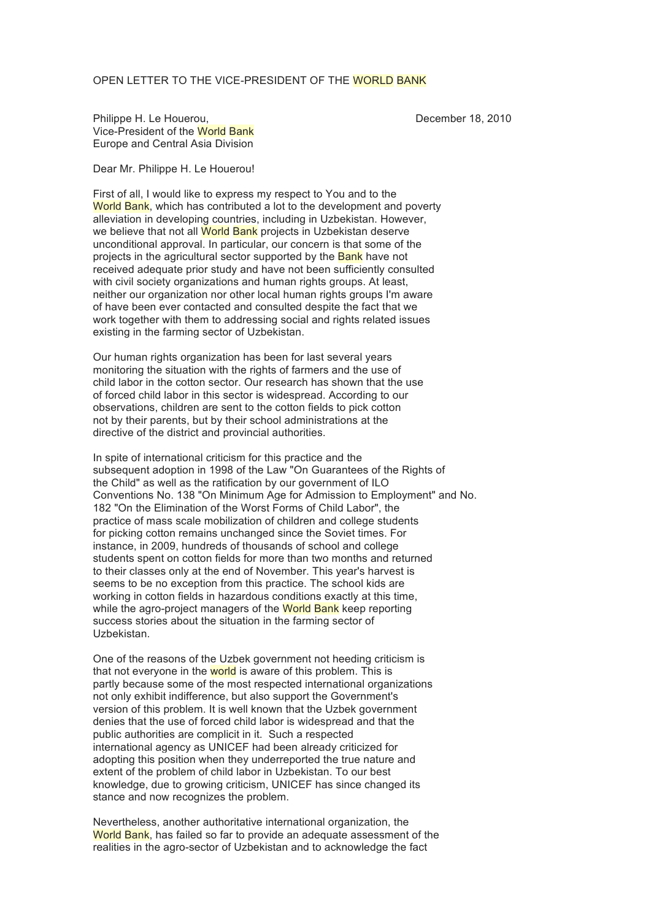## OPEN LETTER TO THE VICE-PRESIDENT OF THE WORLD BANK

Philippe H. Le Houerou, December 18, 2010 Vice-President of the World Bank Europe and Central Asia Division

Dear Mr. Philippe H. Le Houerou!

First of all, I would like to express my respect to You and to the World Bank, which has contributed a lot to the development and poverty alleviation in developing countries, including in Uzbekistan. However, we believe that not all World Bank projects in Uzbekistan deserve unconditional approval. In particular, our concern is that some of the projects in the agricultural sector supported by the Bank have not received adequate prior study and have not been sufficiently consulted with civil society organizations and human rights groups. At least, neither our organization nor other local human rights groups I'm aware of have been ever contacted and consulted despite the fact that we work together with them to addressing social and rights related issues existing in the farming sector of Uzbekistan.

Our human rights organization has been for last several years monitoring the situation with the rights of farmers and the use of child labor in the cotton sector. Our research has shown that the use of forced child labor in this sector is widespread. According to our observations, children are sent to the cotton fields to pick cotton not by their parents, but by their school administrations at the directive of the district and provincial authorities.

In spite of international criticism for this practice and the subsequent adoption in 1998 of the Law "On Guarantees of the Rights of the Child" as well as the ratification by our government of ILO Conventions No. 138 "On Minimum Age for Admission to Employment" and No. 182 "On the Elimination of the Worst Forms of Child Labor", the practice of mass scale mobilization of children and college students for picking cotton remains unchanged since the Soviet times. For instance, in 2009, hundreds of thousands of school and college students spent on cotton fields for more than two months and returned to their classes only at the end of November. This year's harvest is seems to be no exception from this practice. The school kids are working in cotton fields in hazardous conditions exactly at this time, while the agro-project managers of the World Bank keep reporting success stories about the situation in the farming sector of Uzbekistan.

One of the reasons of the Uzbek government not heeding criticism is that not everyone in the world is aware of this problem. This is partly because some of the most respected international organizations not only exhibit indifference, but also support the Government's version of this problem. It is well known that the Uzbek government denies that the use of forced child labor is widespread and that the public authorities are complicit in it. Such a respected international agency as UNICEF had been already criticized for adopting this position when they underreported the true nature and extent of the problem of child labor in Uzbekistan. To our best knowledge, due to growing criticism, UNICEF has since changed its stance and now recognizes the problem.

Nevertheless, another authoritative international organization, the World Bank, has failed so far to provide an adequate assessment of the realities in the agro-sector of Uzbekistan and to acknowledge the fact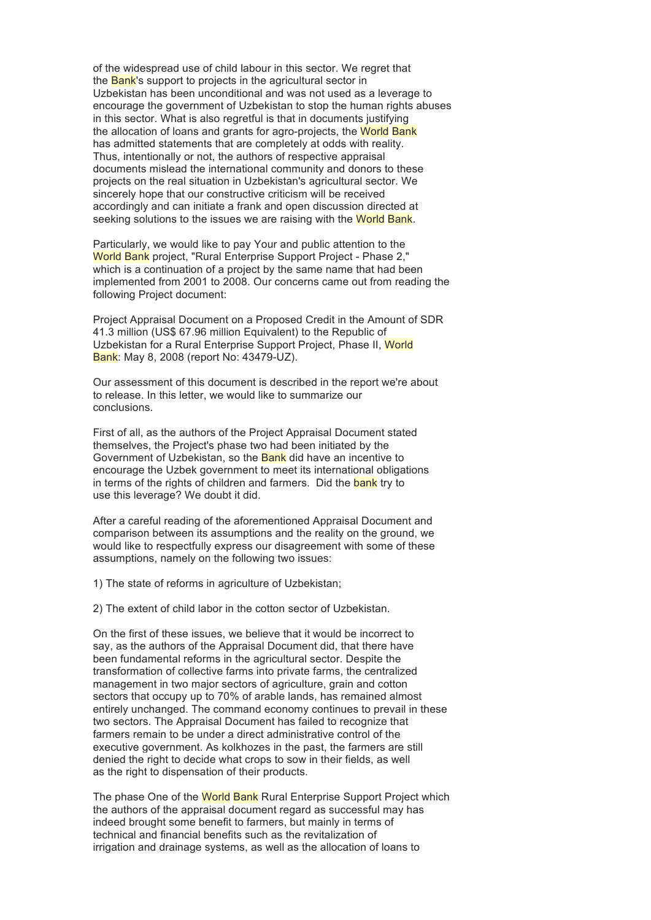of the widespread use of child labour in this sector. We regret that the Bank's support to projects in the agricultural sector in Uzbekistan has been unconditional and was not used as a leverage to encourage the government of Uzbekistan to stop the human rights abuses in this sector. What is also regretful is that in documents justifying the allocation of loans and grants for agro-projects, the World Bank has admitted statements that are completely at odds with reality. Thus, intentionally or not, the authors of respective appraisal documents mislead the international community and donors to these projects on the real situation in Uzbekistan's agricultural sector. We sincerely hope that our constructive criticism will be received accordingly and can initiate a frank and open discussion directed at seeking solutions to the issues we are raising with the World Bank.

Particularly, we would like to pay Your and public attention to the World Bank project, "Rural Enterprise Support Project - Phase 2," which is a continuation of a project by the same name that had been implemented from 2001 to 2008. Our concerns came out from reading the following Project document:

Project Appraisal Document on a Proposed Credit in the Amount of SDR 41.3 million (US\$ 67.96 million Equivalent) to the Republic of Uzbekistan for a Rural Enterprise Support Project, Phase II, World Bank: May 8, 2008 (report No: 43479-UZ).

Our assessment of this document is described in the report we're about to release. In this letter, we would like to summarize our conclusions.

First of all, as the authors of the Project Appraisal Document stated themselves, the Project's phase two had been initiated by the Government of Uzbekistan, so the Bank did have an incentive to encourage the Uzbek government to meet its international obligations in terms of the rights of children and farmers. Did the bank try to use this leverage? We doubt it did.

After a careful reading of the aforementioned Appraisal Document and comparison between its assumptions and the reality on the ground, we would like to respectfully express our disagreement with some of these assumptions, namely on the following two issues:

1) The state of reforms in agriculture of Uzbekistan;

2) The extent of child labor in the cotton sector of Uzbekistan.

On the first of these issues, we believe that it would be incorrect to say, as the authors of the Appraisal Document did, that there have been fundamental reforms in the agricultural sector. Despite the transformation of collective farms into private farms, the centralized management in two major sectors of agriculture, grain and cotton sectors that occupy up to 70% of arable lands, has remained almost entirely unchanged. The command economy continues to prevail in these two sectors. The Appraisal Document has failed to recognize that farmers remain to be under a direct administrative control of the executive government. As kolkhozes in the past, the farmers are still denied the right to decide what crops to sow in their fields, as well as the right to dispensation of their products.

The phase One of the World Bank Rural Enterprise Support Project which the authors of the appraisal document regard as successful may has indeed brought some benefit to farmers, but mainly in terms of technical and financial benefits such as the revitalization of irrigation and drainage systems, as well as the allocation of loans to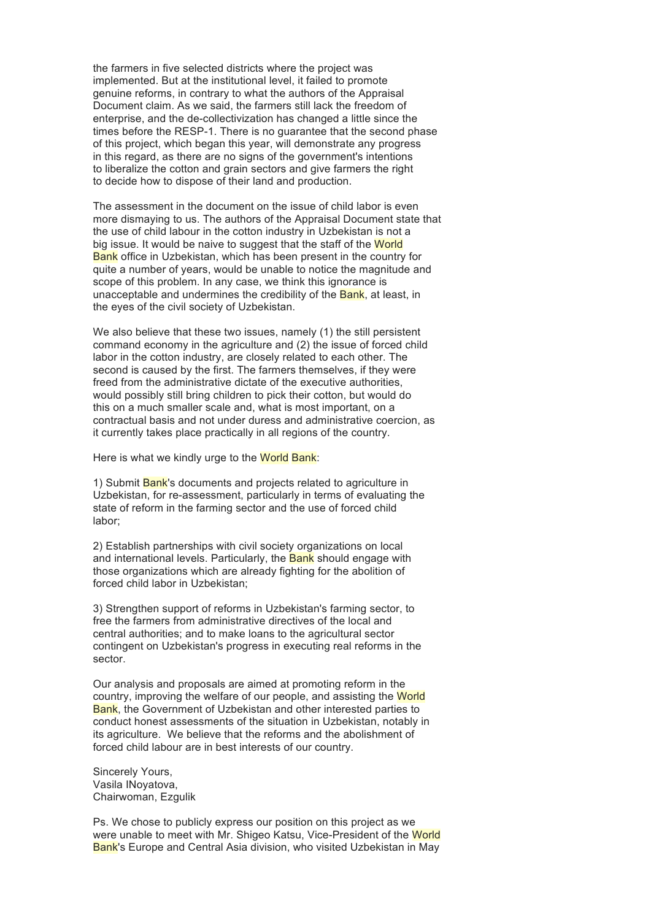the farmers in five selected districts where the project was implemented. But at the institutional level, it failed to promote genuine reforms, in contrary to what the authors of the Appraisal Document claim. As we said, the farmers still lack the freedom of enterprise, and the de-collectivization has changed a little since the times before the RESP-1. There is no guarantee that the second phase of this project, which began this year, will demonstrate any progress in this regard, as there are no signs of the government's intentions to liberalize the cotton and grain sectors and give farmers the right to decide how to dispose of their land and production.

The assessment in the document on the issue of child labor is even more dismaying to us. The authors of the Appraisal Document state that the use of child labour in the cotton industry in Uzbekistan is not a big issue. It would be naive to suggest that the staff of the World Bank office in Uzbekistan, which has been present in the country for quite a number of years, would be unable to notice the magnitude and scope of this problem. In any case, we think this ignorance is unacceptable and undermines the credibility of the **Bank**, at least, in the eyes of the civil society of Uzbekistan.

We also believe that these two issues, namely (1) the still persistent command economy in the agriculture and (2) the issue of forced child labor in the cotton industry, are closely related to each other. The second is caused by the first. The farmers themselves, if they were freed from the administrative dictate of the executive authorities, would possibly still bring children to pick their cotton, but would do this on a much smaller scale and, what is most important, on a contractual basis and not under duress and administrative coercion, as it currently takes place practically in all regions of the country.

Here is what we kindly urge to the World Bank:

1) Submit Bank's documents and projects related to agriculture in Uzbekistan, for re-assessment, particularly in terms of evaluating the state of reform in the farming sector and the use of forced child labor;

2) Establish partnerships with civil society organizations on local and international levels. Particularly, the Bank should engage with those organizations which are already fighting for the abolition of forced child labor in Uzbekistan;

3) Strengthen support of reforms in Uzbekistan's farming sector, to free the farmers from administrative directives of the local and central authorities; and to make loans to the agricultural sector contingent on Uzbekistan's progress in executing real reforms in the sector.

Our analysis and proposals are aimed at promoting reform in the country, improving the welfare of our people, and assisting the World Bank, the Government of Uzbekistan and other interested parties to conduct honest assessments of the situation in Uzbekistan, notably in its agriculture. We believe that the reforms and the abolishment of forced child labour are in best interests of our country.

Sincerely Yours, Vasila INoyatova, Chairwoman, Ezgulik

Ps. We chose to publicly express our position on this project as we were unable to meet with Mr. Shigeo Katsu, Vice-President of the World Bank's Europe and Central Asia division, who visited Uzbekistan in May